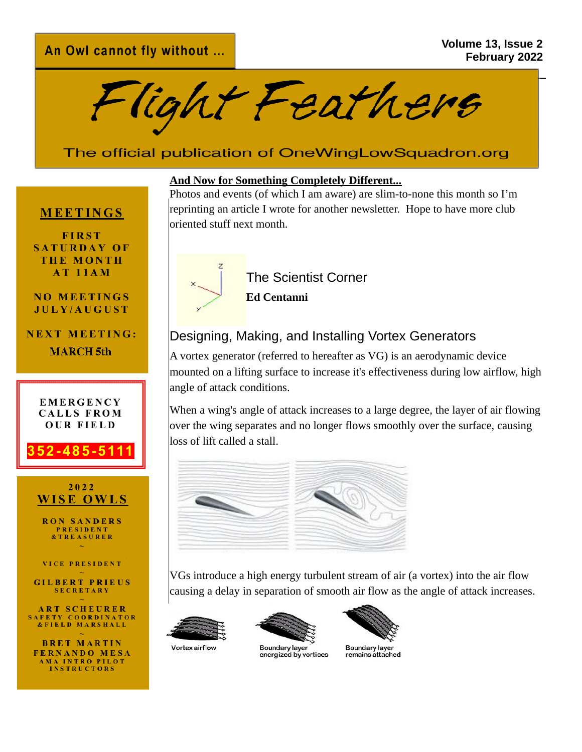Flight Feathers

# The official publication of OneWingLowSquadron.org

#### **MEETINGS**

**FIRST SATURDAY OF THE MONTH** AT 11AM

#### **NO MEETINGS** JULY/AUGUST

**NEXT MEETING: MARCH** 5th



#### **And Now for Something Completely Different...**

Photos and events (of which I am aware) are slim-to-none this month so I'm reprinting an article I wrote for another newsletter. Hope to have more club oriented stuff next month.



The Scientist Corner

**Ed Centanni**

### Designing, Making, and Installing Vortex Generators

A vortex generator (referred to hereafter as VG) is an aerodynamic device mounted on a lifting surface to increase it's effectiveness during low airflow, high angle of attack conditions.

When a wing's angle of attack increases to a large degree, the layer of air flowing over the wing separates and no longer flows smoothly over the surface, causing loss of lift called a stall.



VGs introduce a high energy turbulent stream of air (a vortex) into the air flow causing a delay in separation of smooth air flow as the angle of attack increases.







energized by vortices



Boundary layer<br>remains attached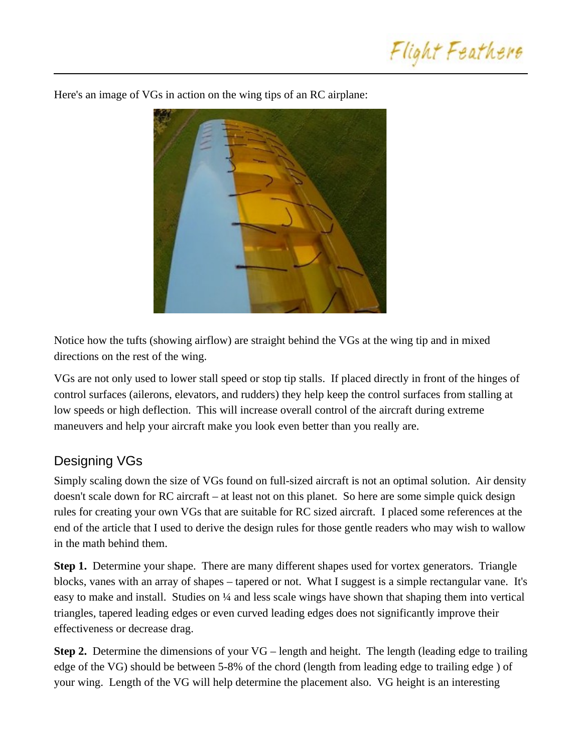



Here's an image of VGs in action on the wing tips of an RC airplane:

Notice how the tufts (showing airflow) are straight behind the VGs at the wing tip and in mixed directions on the rest of the wing.

VGs are not only used to lower stall speed or stop tip stalls. If placed directly in front of the hinges of control surfaces (ailerons, elevators, and rudders) they help keep the control surfaces from stalling at low speeds or high deflection. This will increase overall control of the aircraft during extreme maneuvers and help your aircraft make you look even better than you really are.

## Designing VGs

Simply scaling down the size of VGs found on full-sized aircraft is not an optimal solution. Air density doesn't scale down for RC aircraft – at least not on this planet. So here are some simple quick design rules for creating your own VGs that are suitable for RC sized aircraft. I placed some references at the end of the article that I used to derive the design rules for those gentle readers who may wish to wallow in the math behind them.

**Step 1.** Determine your shape. There are many different shapes used for vortex generators. Triangle blocks, vanes with an array of shapes – tapered or not. What I suggest is a simple rectangular vane. It's easy to make and install. Studies on ¼ and less scale wings have shown that shaping them into vertical triangles, tapered leading edges or even curved leading edges does not significantly improve their effectiveness or decrease drag.

**Step 2.** Determine the dimensions of your VG – length and height. The length (leading edge to trailing edge of the VG) should be between 5-8% of the chord (length from leading edge to trailing edge ) of your wing. Length of the VG will help determine the placement also. VG height is an interesting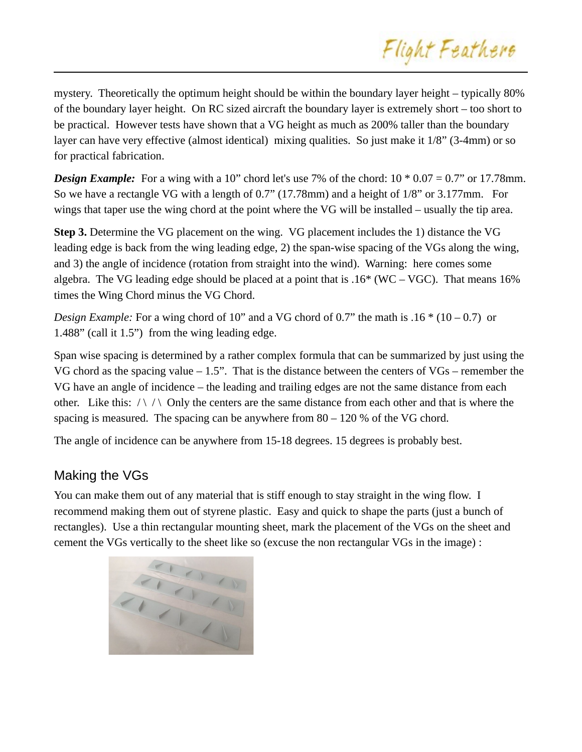mystery. Theoretically the optimum height should be within the boundary layer height – typically 80% of the boundary layer height. On RC sized aircraft the boundary layer is extremely short – too short to be practical. However tests have shown that a VG height as much as 200% taller than the boundary layer can have very effective (almost identical) mixing qualities. So just make it 1/8" (3-4mm) or so for practical fabrication.

**Design Example:** For a wing with a 10" chord let's use 7% of the chord:  $10 * 0.07 = 0.7$ " or 17.78mm. So we have a rectangle VG with a length of 0.7" (17.78mm) and a height of 1/8" or 3.177mm. For wings that taper use the wing chord at the point where the VG will be installed – usually the tip area.

**Step 3.** Determine the VG placement on the wing. VG placement includes the 1) distance the VG leading edge is back from the wing leading edge, 2) the span-wise spacing of the VGs along the wing, and 3) the angle of incidence (rotation from straight into the wind). Warning: here comes some algebra. The VG leading edge should be placed at a point that is  $.16*(WC - VGC)$ . That means 16% times the Wing Chord minus the VG Chord.

*Design Example:* For a wing chord of 10" and a VG chord of 0.7" the math is .16 \* (10 – 0.7) or 1.488" (call it 1.5") from the wing leading edge.

Span wise spacing is determined by a rather complex formula that can be summarized by just using the VG chord as the spacing value  $-1.5$ ". That is the distance between the centers of VGs – remember the VG have an angle of incidence – the leading and trailing edges are not the same distance from each other. Like this:  $\wedge \wedge \wedge$  Only the centers are the same distance from each other and that is where the spacing is measured. The spacing can be anywhere from  $80 - 120$  % of the VG chord.

The angle of incidence can be anywhere from 15-18 degrees. 15 degrees is probably best.

### Making the VGs

You can make them out of any material that is stiff enough to stay straight in the wing flow. I recommend making them out of styrene plastic. Easy and quick to shape the parts (just a bunch of rectangles). Use a thin rectangular mounting sheet, mark the placement of the VGs on the sheet and